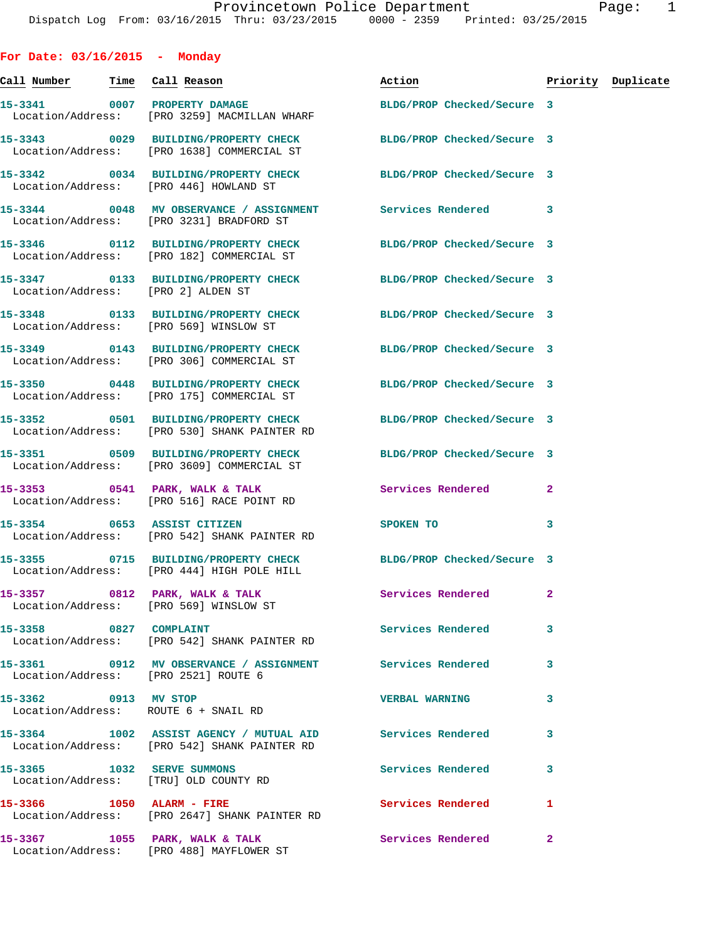| For Date: $03/16/2015$ - Monday |                                                                                      |                                                                                                              |                |                    |
|---------------------------------|--------------------------------------------------------------------------------------|--------------------------------------------------------------------------------------------------------------|----------------|--------------------|
|                                 |                                                                                      | Action                                                                                                       |                | Priority Duplicate |
|                                 | 15-3341 0007 PROPERTY DAMAGE<br>Location/Address: [PRO 3259] MACMILLAN WHARF         | BLDG/PROP Checked/Secure 3                                                                                   |                |                    |
|                                 | Location/Address: [PRO 1638] COMMERCIAL ST                                           | 15-3343 0029 BUILDING/PROPERTY CHECK BLDG/PROP Checked/Secure 3                                              |                |                    |
|                                 | Location/Address: [PRO 446] HOWLAND ST                                               | 15-3342 0034 BUILDING/PROPERTY CHECK BLDG/PROP Checked/Secure 3                                              |                |                    |
|                                 | Location/Address: [PRO 3231] BRADFORD ST                                             | 15-3344 0048 MV OBSERVANCE / ASSIGNMENT Services Rendered                                                    | 3              |                    |
|                                 | Location/Address: [PRO 182] COMMERCIAL ST                                            | 15-3346 0112 BUILDING/PROPERTY CHECK BLDG/PROP Checked/Secure 3                                              |                |                    |
|                                 | Location/Address: [PRO 2] ALDEN ST                                                   | 15-3347 0133 BUILDING/PROPERTY CHECK BLDG/PROP Checked/Secure 3                                              |                |                    |
|                                 | Location/Address: [PRO 569] WINSLOW ST                                               | 15-3348 0133 BUILDING/PROPERTY CHECK BLDG/PROP Checked/Secure 3                                              |                |                    |
|                                 |                                                                                      | 15-3349 0143 BUILDING/PROPERTY CHECK BLDG/PROP Checked/Secure 3<br>Location/Address: [PRO 306] COMMERCIAL ST |                |                    |
|                                 | 15-3350 0448 BUILDING/PROPERTY CHECK<br>Location/Address: [PRO 175] COMMERCIAL ST    | BLDG/PROP Checked/Secure 3                                                                                   |                |                    |
|                                 | 15-3352 0501 BUILDING/PROPERTY CHECK<br>Location/Address: [PRO 530] SHANK PAINTER RD | BLDG/PROP Checked/Secure 3                                                                                   |                |                    |
|                                 | Location/Address: [PRO 3609] COMMERCIAL ST                                           | 15-3351 0509 BUILDING/PROPERTY CHECK BLDG/PROP Checked/Secure 3                                              |                |                    |
|                                 | 15-3353 0541 PARK, WALK & TALK<br>Location/Address: [PRO 516] RACE POINT RD          | <b>Services Rendered</b>                                                                                     | $\mathbf{2}$   |                    |
|                                 | 15-3354 0653 ASSIST CITIZEN<br>Location/Address: [PRO 542] SHANK PAINTER RD          | SPOKEN TO                                                                                                    | 3              |                    |
|                                 | Location/Address: [PRO 444] HIGH POLE HILL                                           | 15-3355 0715 BUILDING/PROPERTY CHECK BLDG/PROP Checked/Secure 3                                              |                |                    |
|                                 | Location/Address: [PRO 569] WINSLOW ST                                               | 15-3357 0812 PARK, WALK & TALK 3 Services Rendered                                                           | $\mathbf{2}$   |                    |
|                                 | 15-3358 0827 COMPLAINT<br>Location/Address: [PRO 542] SHANK PAINTER RD               | Services Rendered                                                                                            | 3              |                    |
|                                 | Location/Address: [PRO 2521] ROUTE 6                                                 | 15-3361 0912 MV OBSERVANCE / ASSIGNMENT Services Rendered                                                    | 3              |                    |
| 15-3362 0913 MV STOP            | Location/Address: ROUTE 6 + SNAIL RD                                                 | <b>VERBAL WARNING</b>                                                                                        | 3              |                    |
|                                 | Location/Address: [PRO 542] SHANK PAINTER RD                                         | 15-3364 1002 ASSIST AGENCY / MUTUAL AID Services Rendered                                                    | 3              |                    |
|                                 | 15-3365 1032 SERVE SUMMONS<br>Location/Address: [TRU] OLD COUNTY RD                  | Services Rendered                                                                                            | 3              |                    |
| 15-3366 1050 ALARM - FIRE       | Location/Address: [PRO 2647] SHANK PAINTER RD                                        | Services Rendered                                                                                            | 1              |                    |
|                                 | 15-3367 1055 PARK, WALK & TALK<br>Location/Address: [PRO 488] MAYFLOWER ST           | Services Rendered                                                                                            | $\overline{2}$ |                    |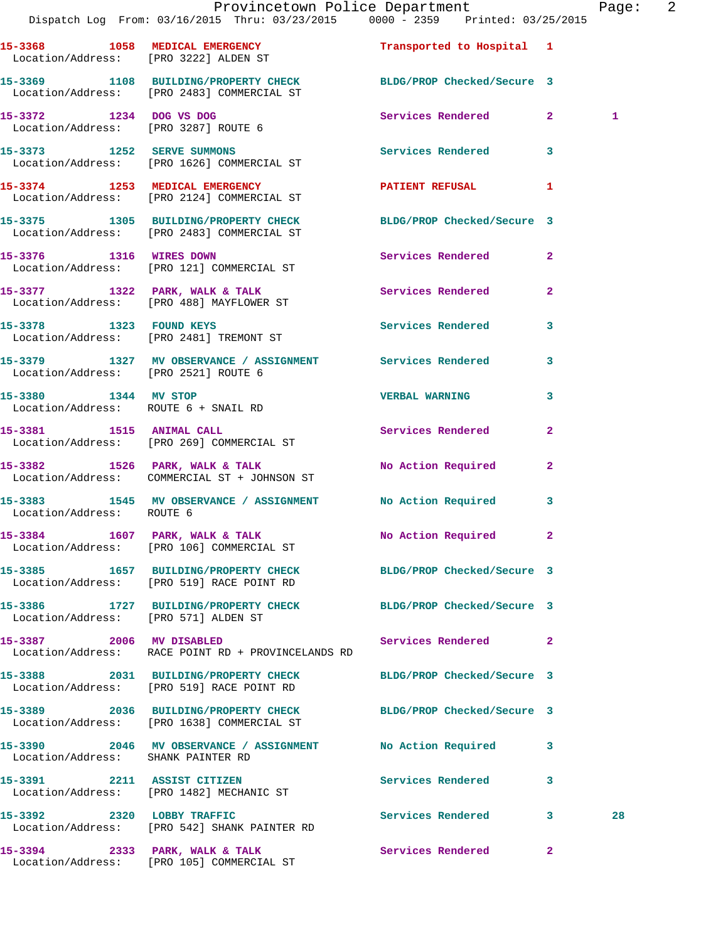|                                      | Provincetown Police Department Page: 2<br>Dispatch Log From: 03/16/2015 Thru: 03/23/2015 0000 - 2359 Printed: 03/25/2015 |                            |                |    |  |
|--------------------------------------|--------------------------------------------------------------------------------------------------------------------------|----------------------------|----------------|----|--|
|                                      | 15-3368 1058 MEDICAL EMERGENCY<br>Location/Address: [PRO 3222] ALDEN ST                                                  | Transported to Hospital 1  |                |    |  |
|                                      | 15-3369 1108 BUILDING/PROPERTY CHECK BLDG/PROP Checked/Secure 3<br>Location/Address: [PRO 2483] COMMERCIAL ST            |                            |                |    |  |
|                                      | 15-3372 1234 DOG VS DOG<br>Location/Address: [PRO 3287] ROUTE 6                                                          | Services Rendered 2        |                | 1  |  |
|                                      | 15-3373 1252 SERVE SUMMONS<br>Location/Address: [PRO 1626] COMMERCIAL ST                                                 | Services Rendered 3        |                |    |  |
|                                      | 15-3374 1253 MEDICAL EMERGENCY<br>Location/Address: [PRO 2124] COMMERCIAL ST                                             | PATIENT REFUSAL 1          |                |    |  |
|                                      | 15-3375 1305 BUILDING/PROPERTY CHECK BLDG/PROP Checked/Secure 3<br>Location/Address: [PRO 2483] COMMERCIAL ST            |                            |                |    |  |
|                                      | 15-3376 1316 WIRES DOWN<br>Location/Address: [PRO 121] COMMERCIAL ST                                                     | Services Rendered 2        |                |    |  |
|                                      | 15-3377 1322 PARK, WALK & TALK 1999 Services Rendered<br>Location/Address: [PRO 488] MAYFLOWER ST                        |                            | $\overline{2}$ |    |  |
|                                      | 15-3378 1323 FOUND KEYS<br>Location/Address: [PRO 2481] TREMONT ST                                                       | Services Rendered 3        |                |    |  |
| Location/Address: [PRO 2521] ROUTE 6 | 15-3379 1327 MV OBSERVANCE / ASSIGNMENT Services Rendered                                                                |                            | $\mathbf{3}$   |    |  |
| 15-3380 1344 MV STOP                 | Location/Address: ROUTE 6 + SNAIL RD                                                                                     | <b>VERBAL WARNING</b>      | $\mathbf{3}$   |    |  |
|                                      | 15-3381 1515 ANIMAL CALL<br>Location/Address: [PRO 269] COMMERCIAL ST                                                    | Services Rendered          | $\mathbf{2}$   |    |  |
|                                      | 15-3382 1526 PARK, WALK & TALK 1999 No Action Required 2<br>Location/Address: COMMERCIAL ST + JOHNSON ST                 |                            |                |    |  |
| Location/Address: ROUTE 6            | 15-3383 1545 MV OBSERVANCE / ASSIGNMENT No Action Required 3                                                             |                            |                |    |  |
|                                      | 15-3384 1607 PARK, WALK & TALK<br>Location/Address: [PRO 106] COMMERCIAL ST                                              | No Action Required 2       |                |    |  |
|                                      | 15-3385 1657 BUILDING/PROPERTY CHECK BLDG/PROP Checked/Secure 3<br>Location/Address: [PRO 519] RACE POINT RD             |                            |                |    |  |
| Location/Address: [PRO 571] ALDEN ST | 15-3386 1727 BUILDING/PROPERTY CHECK BLDG/PROP Checked/Secure 3                                                          |                            |                |    |  |
|                                      | 15-3387 2006 MV DISABLED<br>Location/Address: RACE POINT RD + PROVINCELANDS RD                                           | Services Rendered          | $\mathbf{2}$   |    |  |
|                                      | 15-3388 2031 BUILDING/PROPERTY CHECK BLDG/PROP Checked/Secure 3<br>Location/Address: [PRO 519] RACE POINT RD             |                            |                |    |  |
|                                      | 15-3389 2036 BUILDING/PROPERTY CHECK<br>Location/Address: [PRO 1638] COMMERCIAL ST                                       | BLDG/PROP Checked/Secure 3 |                |    |  |
| Location/Address: SHANK PAINTER RD   | 15-3390 2046 MV OBSERVANCE / ASSIGNMENT No Action Required 3                                                             |                            |                |    |  |
|                                      | 15-3391 2211 ASSIST CITIZEN<br>Location/Address: [PRO 1482] MECHANIC ST                                                  | Services Rendered          | 3              |    |  |
| 15-3392 2320 LOBBY TRAFFIC           | Location/Address: [PRO 542] SHANK PAINTER RD                                                                             | Services Rendered 3        |                | 28 |  |
|                                      |                                                                                                                          |                            |                |    |  |

**15-3394 2333 PARK, WALK & TALK Services Rendered 2**  Location/Address: [PRO 105] COMMERCIAL ST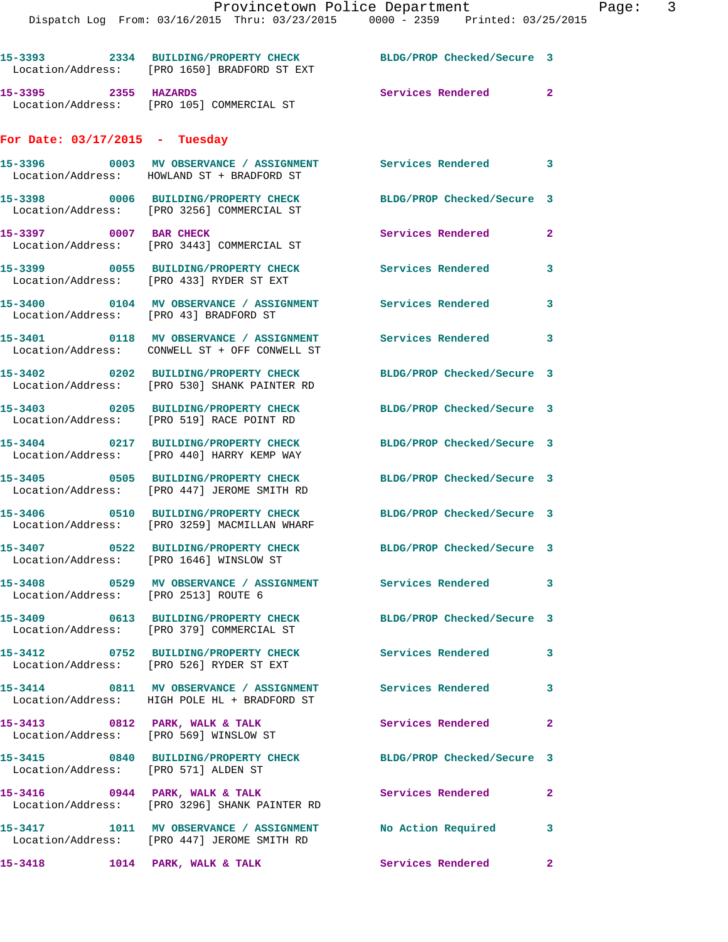|                                        | 15-3393 2334 BUILDING/PROPERTY CHECK<br>Location/Address: [PRO 1650] BRADFORD ST EXT                      | BLDG/PROP Checked/Secure 3 |                         |
|----------------------------------------|-----------------------------------------------------------------------------------------------------------|----------------------------|-------------------------|
| 15-3395 2355 HAZARDS                   | Location/Address: [PRO 105] COMMERCIAL ST                                                                 | Services Rendered          | $\mathbf{2}$            |
| For Date: $03/17/2015$ - Tuesday       |                                                                                                           |                            |                         |
|                                        | 15-3396 6003 MV OBSERVANCE / ASSIGNMENT Services Rendered<br>Location/Address: HOWLAND ST + BRADFORD ST   |                            | 3                       |
|                                        | 15-3398 0006 BUILDING/PROPERTY CHECK<br>Location/Address: [PRO 3256] COMMERCIAL ST                        | BLDG/PROP Checked/Secure 3 |                         |
| 15-3397 0007 BAR CHECK                 | Location/Address: [PRO 3443] COMMERCIAL ST                                                                | Services Rendered          | 2                       |
|                                        | 15-3399 0055 BUILDING/PROPERTY CHECK<br>Location/Address: [PRO 433] RYDER ST EXT                          | <b>Services Rendered</b>   | 3                       |
| Location/Address: [PRO 43] BRADFORD ST | 15-3400 0104 MV OBSERVANCE / ASSIGNMENT                                                                   | Services Rendered          | 3                       |
|                                        | 15-3401 0118 MV OBSERVANCE / ASSIGNMENT<br>Location/Address: CONWELL ST + OFF CONWELL ST                  | Services Rendered          | 3                       |
|                                        | 15-3402 0202 BUILDING/PROPERTY CHECK<br>Location/Address: [PRO 530] SHANK PAINTER RD                      | BLDG/PROP Checked/Secure 3 |                         |
|                                        | 15-3403 0205 BUILDING/PROPERTY CHECK<br>Location/Address: [PRO 519] RACE POINT RD                         | BLDG/PROP Checked/Secure 3 |                         |
|                                        | 15-3404 0217 BUILDING/PROPERTY CHECK<br>Location/Address: [PRO 440] HARRY KEMP WAY                        | BLDG/PROP Checked/Secure 3 |                         |
|                                        | 15-3405 0505 BUILDING/PROPERTY CHECK<br>Location/Address: [PRO 447] JEROME SMITH RD                       | BLDG/PROP Checked/Secure 3 |                         |
|                                        | 15-3406 0510 BUILDING/PROPERTY CHECK<br>Location/Address: [PRO 3259] MACMILLAN WHARF                      | BLDG/PROP Checked/Secure 3 |                         |
|                                        | 15-3407 0522 BUILDING/PROPERTY CHECK<br>Location/Address: [PRO 1646] WINSLOW ST                           | BLDG/PROP Checked/Secure 3 |                         |
| Location/Address: [PRO 2513] ROUTE 6   | 15-3408 0529 MV OBSERVANCE / ASSIGNMENT Services Rendered                                                 |                            | $\mathbf{3}$            |
|                                        | 15-3409 0613 BUILDING/PROPERTY CHECK<br>Location/Address: [PRO 379] COMMERCIAL ST                         | BLDG/PROP Checked/Secure 3 |                         |
|                                        | 15-3412 0752 BUILDING/PROPERTY CHECK Services Rendered<br>Location/Address: [PRO 526] RYDER ST EXT        |                            | $\overline{\mathbf{3}}$ |
|                                        | 15-3414 0811 MV OBSERVANCE / ASSIGNMENT<br>Location/Address: HIGH POLE HL + BRADFORD ST                   | Services Rendered          | 3                       |
|                                        | 15-3413 0812 PARK, WALK & TALK<br>Location/Address: [PRO 569] WINSLOW ST                                  | <b>Services Rendered</b>   | $\mathbf{2}$            |
| Location/Address: [PRO 571] ALDEN ST   | 15-3415 0840 BUILDING/PROPERTY CHECK                                                                      | BLDG/PROP Checked/Secure 3 |                         |
|                                        | $15-3416$ 0944 PARK, WALK & TALK<br>Location/Address: [PRO 3296] SHANK PAINTER RD                         | Services Rendered          | $\mathbf{2}$            |
|                                        | 15-3417 1011 MV OBSERVANCE / ASSIGNMENT No Action Required<br>Location/Address: [PRO 447] JEROME SMITH RD |                            | 3                       |
|                                        | $15-3418$ $1014$ PARK, WALK & TALK                                                                        | <b>Services Rendered</b>   | $\mathbf{2}$            |
|                                        |                                                                                                           |                            |                         |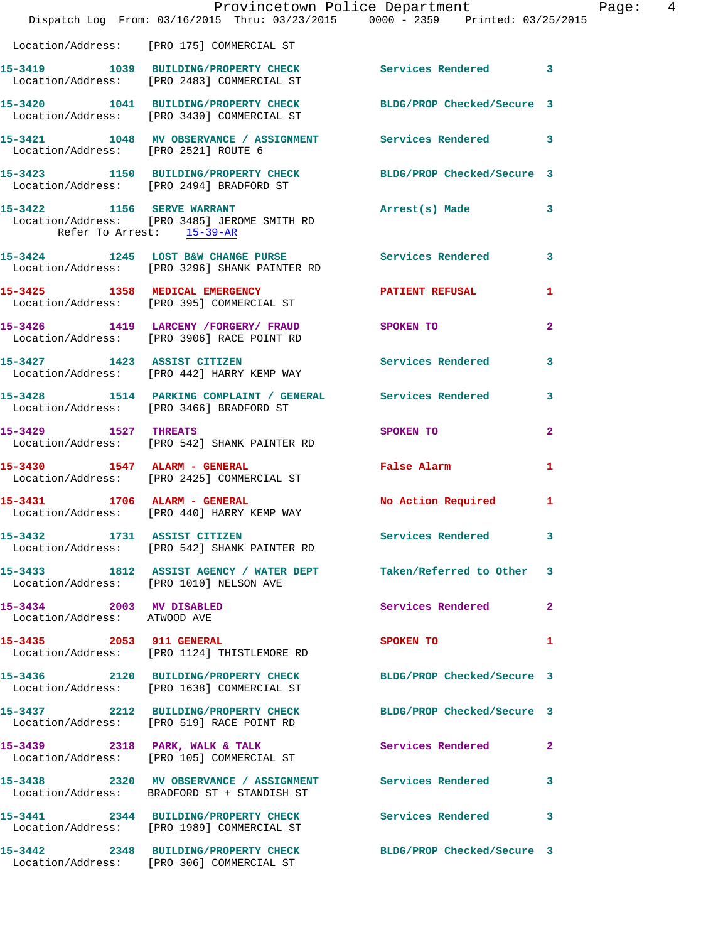|                                                          | Dispatch Log From: 03/16/2015 Thru: 03/23/2015 0000 - 2359 Printed: 03/25/2015                                 | Provincetown Police Department Page: 4 |                |
|----------------------------------------------------------|----------------------------------------------------------------------------------------------------------------|----------------------------------------|----------------|
|                                                          | Location/Address: [PRO 175] COMMERCIAL ST                                                                      |                                        |                |
|                                                          | 15-3419 1039 BUILDING/PROPERTY CHECK Services Rendered 3<br>Location/Address: [PRO 2483] COMMERCIAL ST         |                                        |                |
|                                                          | 15-3420 1041 BUILDING/PROPERTY CHECK BLDG/PROP Checked/Secure 3<br>Location/Address: [PRO 3430] COMMERCIAL ST  |                                        |                |
| Location/Address: [PRO 2521] ROUTE 6                     | 15-3421 1048 MV OBSERVANCE / ASSIGNMENT Services Rendered 3                                                    |                                        |                |
|                                                          | 15-3423 1150 BUILDING/PROPERTY CHECK BLDG/PROP Checked/Secure 3<br>Location/Address: [PRO 2494] BRADFORD ST    |                                        |                |
|                                                          | 15-3422 1156 SERVE WARRANT<br>Location/Address: [PRO 3485] JEROME SMITH RD<br>Refer To Arrest: 15-39-AR        | Arrest(s) Made 3                       |                |
|                                                          | 15-3424 1245 LOST B&W CHANGE PURSE Services Rendered 3<br>Location/Address: [PRO 3296] SHANK PAINTER RD        |                                        |                |
|                                                          | 15-3425 1358 MEDICAL EMERGENCY <b>SERVICE SERVICE AND REFUSAL</b><br>Location/Address: [PRO 395] COMMERCIAL ST |                                        | 1              |
|                                                          | 15-3426 1419 LARCENY / FORGERY / FRAUD SPOKEN TO<br>Location/Address: [PRO 3906] RACE POINT RD                 |                                        | $\overline{2}$ |
|                                                          | 15-3427 1423 ASSIST CITIZEN<br>Location/Address: [PRO 442] HARRY KEMP WAY                                      | <b>Services Rendered</b>               | 3              |
|                                                          | 15-3428 1514 PARKING COMPLAINT / GENERAL Services Rendered 3<br>Location/Address: [PRO 3466] BRADFORD ST       |                                        |                |
|                                                          | 15-3429 1527 THREATS<br>Location/Address: [PRO 542] SHANK PAINTER RD                                           | SPOKEN TO                              | $\mathbf{2}$   |
|                                                          | 15-3430 1547 ALARM - GENERAL<br>Location/Address: [PRO 2425] COMMERCIAL ST                                     | False Alarm                            | $\mathbf{1}$   |
|                                                          | 15-3431 1706 ALARM - GENERAL<br>Location/Address: [PRO 440] HARRY KEMP WAY                                     | No Action Required 1                   |                |
|                                                          | 15-3432 1731 ASSIST CITIZEN<br>Location/Address: [PRO 542] SHANK PAINTER RD                                    | Services Rendered 3                    |                |
|                                                          | 15-3433 1812 ASSIST AGENCY / WATER DEPT Taken/Referred to Other 3<br>Location/Address: [PRO 1010] NELSON AVE   |                                        |                |
| 15-3434 2003 MV DISABLED<br>Location/Address: ATWOOD AVE |                                                                                                                | Services Rendered                      | $\mathbf{2}$   |
|                                                          | 15-3435 2053 911 GENERAL<br>Location/Address: [PRO 1124] THISTLEMORE RD                                        | SPOKEN TO                              | 1              |
|                                                          | 15-3436 2120 BUILDING/PROPERTY CHECK BLDG/PROP Checked/Secure 3<br>Location/Address: [PRO 1638] COMMERCIAL ST  |                                        |                |
|                                                          | 15-3437 2212 BUILDING/PROPERTY CHECK BLDG/PROP Checked/Secure 3<br>Location/Address: [PRO 519] RACE POINT RD   |                                        |                |
|                                                          | 15-3439 2318 PARK, WALK & TALK<br>Location/Address: [PRO 105] COMMERCIAL ST                                    | Services Rendered 2                    |                |
|                                                          | 15-3438 2320 MV OBSERVANCE / ASSIGNMENT Services Rendered<br>Location/Address: BRADFORD ST + STANDISH ST       |                                        | 3              |
|                                                          | 15-3441 2344 BUILDING/PROPERTY CHECK Services Rendered<br>Location/Address: [PRO 1989] COMMERCIAL ST           |                                        | 3              |
|                                                          | 15-3442 2348 BUILDING/PROPERTY CHECK BLDG/PROP Checked/Secure 3<br>Location/Address: [PRO 306] COMMERCIAL ST   |                                        |                |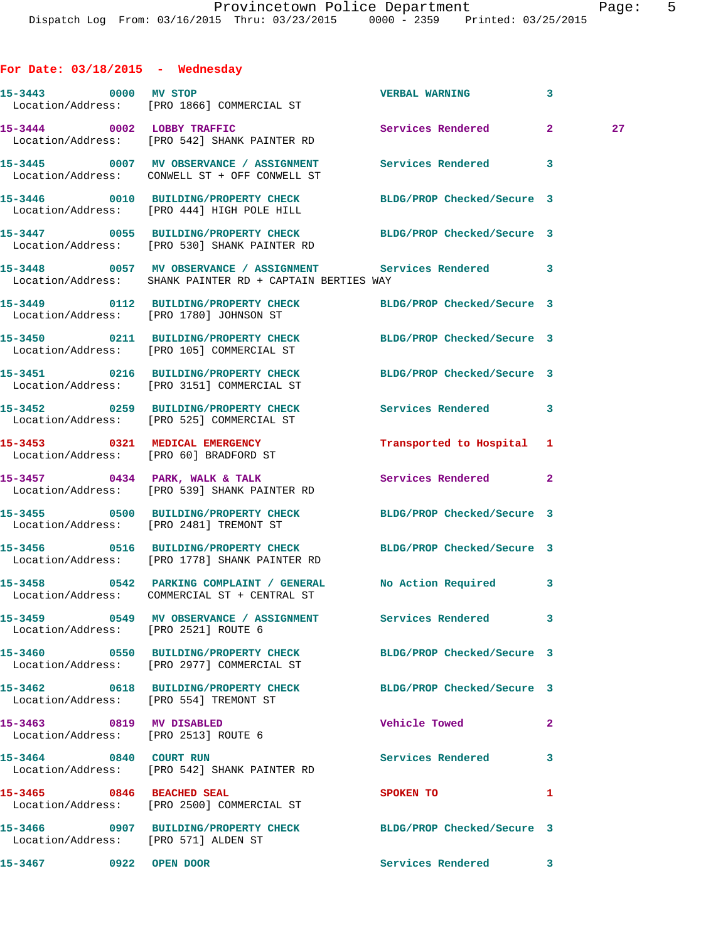| া |  | L |
|---|--|---|
|   |  |   |

| For Date: $03/18/2015$ - Wednesday                               |                                                                                                                         |                                                     |              |
|------------------------------------------------------------------|-------------------------------------------------------------------------------------------------------------------------|-----------------------------------------------------|--------------|
|                                                                  | 15-3443 0000 MV STOP<br>Location/Address: [PRO 1866] COMMERCIAL ST                                                      | $\overline{\phantom{a}}$ 3<br><b>VERBAL WARNING</b> |              |
|                                                                  | 15-3444 0002 LOBBY TRAFFIC<br>Location/Address: [PRO 542] SHANK PAINTER RD                                              | Services Rendered 2                                 | 27           |
|                                                                  | 15-3445 0007 MV OBSERVANCE / ASSIGNMENT Services Rendered<br>Location/Address: CONWELL ST + OFF CONWELL ST              |                                                     | $\mathbf{3}$ |
|                                                                  | 15-3446 0010 BUILDING/PROPERTY CHECK<br>Location/Address: [PRO 444] HIGH POLE HILL                                      | BLDG/PROP Checked/Secure 3                          |              |
|                                                                  | 15-3447 0055 BUILDING/PROPERTY CHECK BLDG/PROP Checked/Secure 3<br>Location/Address: [PRO 530] SHANK PAINTER RD         |                                                     |              |
|                                                                  | 15-3448 0057 MV OBSERVANCE / ASSIGNMENT Services Rendered 3<br>Location/Address: SHANK PAINTER RD + CAPTAIN BERTIES WAY |                                                     |              |
|                                                                  | 15-3449   0112 BUILDING/PROPERTY CHECK BLDG/PROP Checked/Secure 3<br>Location/Address: [PRO 1780] JOHNSON ST            |                                                     |              |
|                                                                  | 15-3450 0211 BUILDING/PROPERTY CHECK BLDG/PROP Checked/Secure 3<br>Location/Address: [PRO 105] COMMERCIAL ST            |                                                     |              |
|                                                                  | 15-3451 0216 BUILDING/PROPERTY CHECK<br>Location/Address: [PRO 3151] COMMERCIAL ST                                      | BLDG/PROP Checked/Secure 3                          |              |
|                                                                  | 15-3452 0259 BUILDING/PROPERTY CHECK<br>Location/Address: [PRO 525] COMMERCIAL ST                                       | Services Rendered 3                                 |              |
|                                                                  | 15-3453 0321 MEDICAL EMERGENCY<br>Location/Address: [PRO 60] BRADFORD ST                                                | Transported to Hospital 1                           |              |
|                                                                  | $15-3457$ 0434 PARK, WALK & TALK<br>Location/Address: [PRO 539] SHANK PAINTER RD                                        | Services Rendered                                   | $\mathbf{2}$ |
|                                                                  | 15-3455 0500 BUILDING/PROPERTY CHECK<br>Location/Address: [PRO 2481] TREMONT ST                                         | BLDG/PROP Checked/Secure 3                          |              |
|                                                                  | 15-3456 0516 BUILDING/PROPERTY CHECK<br>Location/Address: [PRO 1778] SHANK PAINTER RD                                   | BLDG/PROP Checked/Secure 3                          |              |
|                                                                  | 15-3458 0542 PARKING COMPLAINT / GENERAL No Action Required 3<br>Location/Address: COMMERCIAL ST + CENTRAL ST           |                                                     |              |
| Location/Address: [PRO 2521] ROUTE 6                             |                                                                                                                         |                                                     |              |
|                                                                  | 15-3460 0550 BUILDING/PROPERTY CHECK<br>Location/Address: [PRO 2977] COMMERCIAL ST                                      | BLDG/PROP Checked/Secure 3                          |              |
|                                                                  | 15-3462 0618 BUILDING/PROPERTY CHECK BLDG/PROP Checked/Secure 3<br>Location/Address: [PRO 554] TREMONT ST               |                                                     |              |
| 15-3463 0819 MV DISABLED<br>Location/Address: [PRO 2513] ROUTE 6 |                                                                                                                         | <b>Vehicle Towed</b>                                | $\mathbf{2}$ |
| 15-3464 0840 COURT RUN                                           | Location/Address: [PRO 542] SHANK PAINTER RD                                                                            | Services Rendered 3                                 |              |
| 15-3465 0846 BEACHED SEAL                                        | Location/Address: [PRO 2500] COMMERCIAL ST                                                                              | SPOKEN TO                                           | 1            |
| Location/Address: [PRO 571] ALDEN ST                             | 15-3466 0907 BUILDING/PROPERTY CHECK BLDG/PROP Checked/Secure 3                                                         |                                                     |              |
| 15-3467 0922 OPEN DOOR                                           |                                                                                                                         | Services Rendered 3                                 |              |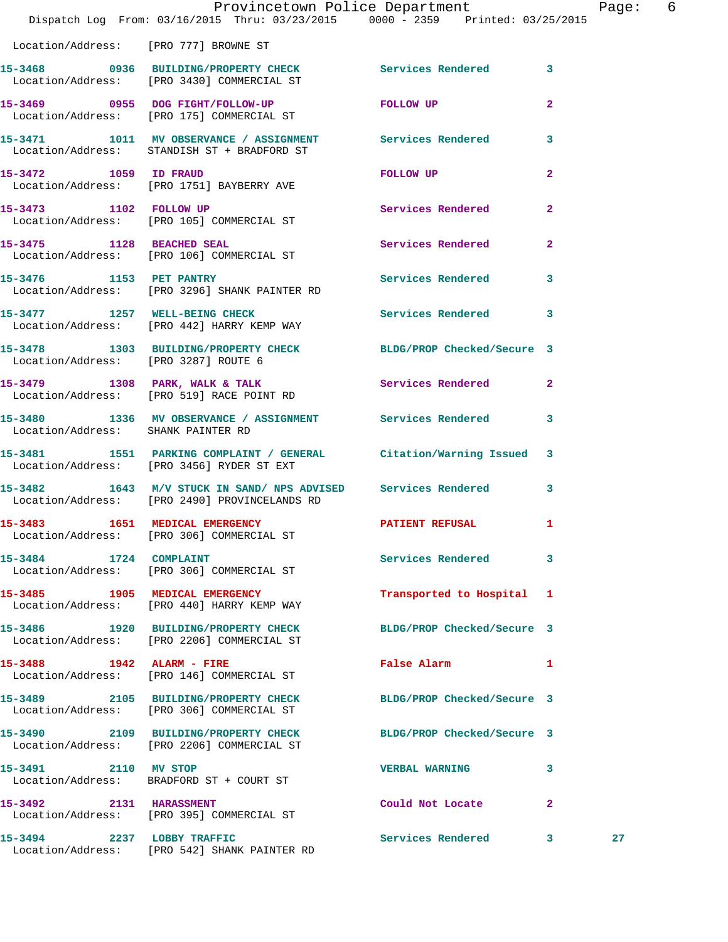|                                       | Dispatch Log From: 03/16/2015 Thru: 03/23/2015 0000 - 2359 Printed: 03/25/2015                                   | Provincetown Police Department                                                                                  | Page:          | 6 |
|---------------------------------------|------------------------------------------------------------------------------------------------------------------|-----------------------------------------------------------------------------------------------------------------|----------------|---|
| Location/Address: [PRO 777] BROWNE ST |                                                                                                                  |                                                                                                                 |                |   |
|                                       | 15-3468 0936 BUILDING/PROPERTY CHECK Services Rendered 3<br>Location/Address: [PRO 3430] COMMERCIAL ST           |                                                                                                                 |                |   |
|                                       | 15-3469 0955 DOG FIGHT/FOLLOW-UP<br>Location/Address: [PRO 175] COMMERCIAL ST                                    | FOLLOW UP                                                                                                       | $\overline{2}$ |   |
|                                       | 15-3471 1011 MV OBSERVANCE / ASSIGNMENT Services Rendered 3<br>Location/Address: STANDISH ST + BRADFORD ST       |                                                                                                                 |                |   |
|                                       | 15-3472 1059 ID FRAUD<br>Location/Address: [PRO 1751] BAYBERRY AVE                                               | FOLLOW UP AND THE RESIDENCE OF A STRIKE AND THE RESIDENCE OF A STRIKE AND THE RESIDENCE OF A STRIKE OF A STRIKE | $\overline{2}$ |   |
|                                       | 15-3473 1102 FOLLOW UP<br>Location/Address: [PRO 105] COMMERCIAL ST                                              | Services Rendered 2                                                                                             |                |   |
|                                       | 15-3475 1128 BEACHED SEAL<br>Location/Address: [PRO 106] COMMERCIAL ST                                           | Services Rendered 2                                                                                             |                |   |
|                                       | 15-3476 1153 PET PANTRY<br>Location/Address: [PRO 3296] SHANK PAINTER RD                                         | Services Rendered 3                                                                                             |                |   |
|                                       | 15-3477 1257 WELL-BEING CHECK Services Rendered 3<br>Location/Address: [PRO 442] HARRY KEMP WAY                  |                                                                                                                 |                |   |
|                                       | 15-3478 1303 BUILDING/PROPERTY CHECK BLDG/PROP Checked/Secure 3<br>Location/Address: [PRO 3287] ROUTE 6          |                                                                                                                 |                |   |
|                                       | 15-3479 1308 PARK, WALK & TALK 1988 Services Rendered 2<br>Location/Address: [PRO 519] RACE POINT RD             |                                                                                                                 |                |   |
| Location/Address: SHANK PAINTER RD    | 15-3480 1336 MV OBSERVANCE / ASSIGNMENT Services Rendered 3                                                      |                                                                                                                 |                |   |
|                                       | 15-3481 1551 PARKING COMPLAINT / GENERAL Citation/Warning Issued 3<br>Location/Address: [PRO 3456] RYDER ST EXT  |                                                                                                                 |                |   |
|                                       | 15-3482 1643 M/V STUCK IN SAND/ NPS ADVISED Services Rendered 3<br>Location/Address: [PRO 2490] PROVINCELANDS RD |                                                                                                                 |                |   |
| 15-3483 1651 MEDICAL EMERGENCY        | Location/Address: [PRO 306] COMMERCIAL ST                                                                        | PATIENT REFUSAL                                                                                                 |                |   |
|                                       | 15-3484 1724 COMPLAINT<br>Location/Address: [PRO 306] COMMERCIAL ST                                              | Services Rendered                                                                                               | $\mathbf{3}$   |   |
|                                       | 15-3485 1905 MEDICAL EMERGENCY<br>Location/Address: [PRO 440] HARRY KEMP WAY                                     | Transported to Hospital 1                                                                                       |                |   |
|                                       | 15-3486 1920 BUILDING/PROPERTY CHECK<br>Location/Address: [PRO 2206] COMMERCIAL ST                               | BLDG/PROP Checked/Secure 3                                                                                      |                |   |
| 15-3488 1942 ALARM - FIRE             | Location/Address: [PRO 146] COMMERCIAL ST                                                                        | False Alarm 1                                                                                                   |                |   |
|                                       | 15-3489 2105 BUILDING/PROPERTY CHECK BLDG/PROP Checked/Secure 3<br>Location/Address: [PRO 306] COMMERCIAL ST     |                                                                                                                 |                |   |
|                                       | 15-3490 2109 BUILDING/PROPERTY CHECK BLDG/PROP Checked/Secure 3<br>Location/Address: [PRO 2206] COMMERCIAL ST    |                                                                                                                 |                |   |
| 15-3491 2110 MV STOP                  | Location/Address: BRADFORD ST + COURT ST                                                                         | <b>VERBAL WARNING</b>                                                                                           | 3              |   |
| 15-3492 2131 HARASSMENT               | Location/Address: [PRO 395] COMMERCIAL ST                                                                        | Could Not Locate                                                                                                | $\mathbf{2}$   |   |
|                                       | 15-3494 2237 LOBBY TRAFFIC<br>Location/Address: [PRO 542] SHANK PAINTER RD                                       | Services Rendered 3                                                                                             | 27             |   |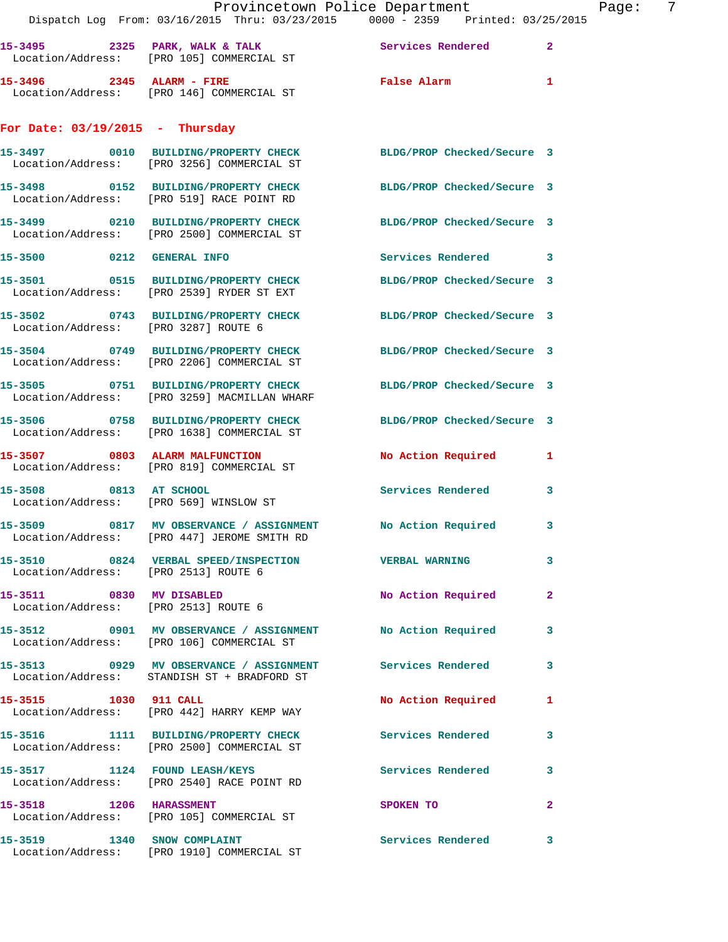|                                      | Provincetown Police Department<br>Dispatch Log From: 03/16/2015 Thru: 03/23/2015 0000 - 2359 Printed: 03/25/2015 |                            | 7<br>Page:     |
|--------------------------------------|------------------------------------------------------------------------------------------------------------------|----------------------------|----------------|
|                                      | 15-3495 2325 PARK, WALK & TALK 2008 Services Rendered<br>Location/Address: [PRO 105] COMMERCIAL ST               |                            | $\mathbf{2}$   |
|                                      | 15-3496 2345 ALARM - FIRE<br>Location/Address: [PRO 146] COMMERCIAL ST                                           | False Alarm                | 1              |
| For Date: $03/19/2015$ - Thursday    |                                                                                                                  |                            |                |
|                                      | 15-3497 0010 BUILDING/PROPERTY CHECK BLDG/PROP Checked/Secure 3<br>Location/Address: [PRO 3256] COMMERCIAL ST    |                            |                |
|                                      | 15-3498 0152 BUILDING/PROPERTY CHECK BLDG/PROP Checked/Secure 3<br>Location/Address: [PRO 519] RACE POINT RD     |                            |                |
|                                      | 15-3499 0210 BUILDING/PROPERTY CHECK BLDG/PROP Checked/Secure 3<br>Location/Address: [PRO 2500] COMMERCIAL ST    |                            |                |
| 15-3500 0212 GENERAL INFO            |                                                                                                                  | Services Rendered 3        |                |
|                                      | 15-3501 0515 BUILDING/PROPERTY CHECK<br>Location/Address: [PRO 2539] RYDER ST EXT                                | BLDG/PROP Checked/Secure 3 |                |
| Location/Address: [PRO 3287] ROUTE 6 | 15-3502 0743 BUILDING/PROPERTY CHECK BLDG/PROP Checked/Secure 3                                                  |                            |                |
|                                      | 15-3504 0749 BUILDING/PROPERTY CHECK<br>Location/Address: [PRO 2206] COMMERCIAL ST                               | BLDG/PROP Checked/Secure 3 |                |
|                                      | 15-3505 0751 BUILDING/PROPERTY CHECK<br>Location/Address: [PRO 3259] MACMILLAN WHARF                             | BLDG/PROP Checked/Secure 3 |                |
|                                      | 15-3506 0758 BUILDING/PROPERTY CHECK<br>Location/Address: [PRO 1638] COMMERCIAL ST                               | BLDG/PROP Checked/Secure 3 |                |
|                                      | 15-3507 0803 ALARM MALFUNCTION<br>Location/Address: [PRO 819] COMMERCIAL ST                                      | No Action Required         | 1              |
| 15-3508 0813 AT SCHOOL               | Location/Address: [PRO 569] WINSLOW ST                                                                           | Services Rendered          | 3              |
|                                      | 15-3509 0817 MV OBSERVANCE / ASSIGNMENT<br>Location/Address: [PRO 447] JEROME SMITH RD                           | No Action Required         | 3              |
| Location/Address: [PRO 2513] ROUTE 6 | 15-3510 0824 VERBAL SPEED/INSPECTION VERBAL WARNING                                                              |                            | 3              |
|                                      | 15-3511 0830 MV DISABLED<br>Location/Address: [PRO 2513] ROUTE 6                                                 | No Action Required         | $\overline{2}$ |
|                                      | 15-3512 0901 MV OBSERVANCE / ASSIGNMENT No Action Required<br>Location/Address: [PRO 106] COMMERCIAL ST          |                            | 3              |
|                                      | 15-3513 0929 MV OBSERVANCE / ASSIGNMENT Services Rendered<br>Location/Address: STANDISH ST + BRADFORD ST         |                            | 3              |
| 15-3515 1030 911 CALL                | Location/Address: [PRO 442] HARRY KEMP WAY                                                                       | No Action Required 1       |                |
|                                      | 15-3516 1111 BUILDING/PROPERTY CHECK<br>Location/Address: [PRO 2500] COMMERCIAL ST                               | <b>Services Rendered</b>   | 3              |
|                                      | 15-3517 1124 FOUND LEASH/KEYS<br>Location/Address: [PRO 2540] RACE POINT RD                                      | Services Rendered          | 3              |
|                                      | 15-3518 1206 HARASSMENT<br>Location/Address: [PRO 105] COMMERCIAL ST                                             | SPOKEN TO                  | $\mathbf{2}$   |
| 15-3519 1340 SNOW COMPLAINT          | Location/Address: [PRO 1910] COMMERCIAL ST                                                                       | Services Rendered          | 3              |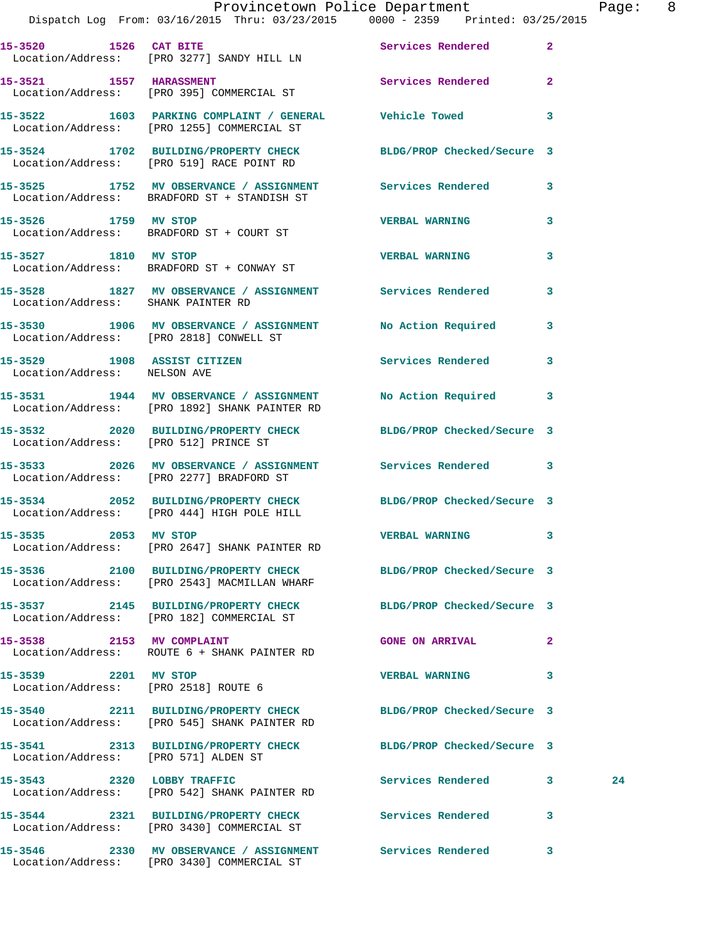|                                      | Provincetown Police Department<br>Dispatch Log From: 03/16/2015 Thru: 03/23/2015 0000 - 2359 Printed: 03/25/2015 |                            |                         | Page: 8 |  |
|--------------------------------------|------------------------------------------------------------------------------------------------------------------|----------------------------|-------------------------|---------|--|
|                                      | 15-3520 1526 CAT BITE Services Rendered 2<br>Location/Address: [PRO 3277] SANDY HILL LN                          |                            |                         |         |  |
|                                      | 15-3521 1557 HARASSMENT 150 Services Rendered 2<br>Location/Address: [PRO 395] COMMERCIAL ST                     |                            |                         |         |  |
|                                      | 15-3522 1603 PARKING COMPLAINT / GENERAL Vehicle Towed 3<br>Location/Address: [PRO 1255] COMMERCIAL ST           |                            |                         |         |  |
|                                      | 15-3524 1702 BUILDING/PROPERTY CHECK BLDG/PROP Checked/Secure 3<br>Location/Address: [PRO 519] RACE POINT RD     |                            |                         |         |  |
|                                      | 15-3525 1752 MV OBSERVANCE / ASSIGNMENT Services Rendered 3<br>Location/Address: BRADFORD ST + STANDISH ST       |                            |                         |         |  |
| 15-3526 1759 MV STOP                 | Location/Address: BRADFORD ST + COURT ST                                                                         | <b>VERBAL WARNING</b>      | $\mathbf{3}$            |         |  |
| 15-3527 1810 MV STOP                 | Location/Address: BRADFORD ST + CONWAY ST                                                                        | <b>VERBAL WARNING</b>      | 3                       |         |  |
| Location/Address: SHANK PAINTER RD   | 15-3528 1827 MV OBSERVANCE / ASSIGNMENT Services Rendered                                                        |                            | $\overline{\mathbf{3}}$ |         |  |
|                                      | 15-3530 1906 MV OBSERVANCE / ASSIGNMENT No Action Required 3<br>Location/Address: [PRO 2818] CONWELL ST          |                            |                         |         |  |
| Location/Address: NELSON AVE         | 15-3529 1908 ASSIST CITIZEN                                                                                      | <b>Services Rendered</b>   | $\mathbf{3}$            |         |  |
|                                      | 15-3531 1944 MV OBSERVANCE / ASSIGNMENT No Action Required 3<br>Location/Address: [PRO 1892] SHANK PAINTER RD    |                            |                         |         |  |
|                                      | 15-3532 2020 BUILDING/PROPERTY CHECK BLDG/PROP Checked/Secure 3<br>Location/Address: [PRO 512] PRINCE ST         |                            |                         |         |  |
|                                      | 15-3533 2026 MV OBSERVANCE / ASSIGNMENT Services Rendered 3<br>Location/Address: [PRO 2277] BRADFORD ST          |                            |                         |         |  |
|                                      | 15-3534 2052 BUILDING/PROPERTY CHECK BLDG/PROP Checked/Secure 3<br>Location/Address: [PRO 444] HIGH POLE HILL    |                            |                         |         |  |
| 15-3535 2053 MV STOP                 | Location/Address: [PRO 2647] SHANK PAINTER RD                                                                    | VERBAL WARNING 3           |                         |         |  |
|                                      | 15-3536 2100 BUILDING/PROPERTY CHECK BLDG/PROP Checked/Secure 3<br>Location/Address: [PRO 2543] MACMILLAN WHARF  |                            |                         |         |  |
|                                      | 15-3537 2145 BUILDING/PROPERTY CHECK<br>Location/Address: [PRO 182] COMMERCIAL ST                                | BLDG/PROP Checked/Secure 3 |                         |         |  |
|                                      | 15-3538 2153 MV COMPLAINT<br>Location/Address: ROUTE 6 + SHANK PAINTER RD                                        | <b>GONE ON ARRIVAL</b>     | $\mathbf{2}$            |         |  |
| 15-3539 2201 MV STOP                 | Location/Address: [PRO 2518] ROUTE 6                                                                             | <b>VERBAL WARNING</b>      | 3                       |         |  |
|                                      | 15-3540 2211 BUILDING/PROPERTY CHECK<br>Location/Address: [PRO 545] SHANK PAINTER RD                             | BLDG/PROP Checked/Secure 3 |                         |         |  |
| Location/Address: [PRO 571] ALDEN ST | 15-3541 2313 BUILDING/PROPERTY CHECK BLDG/PROP Checked/Secure 3                                                  |                            |                         |         |  |
|                                      | 15-3543 2320 LOBBY TRAFFIC<br>Location/Address: [PRO 542] SHANK PAINTER RD                                       | Services Rendered 3        |                         | 24      |  |
|                                      | 15-3544 2321 BUILDING/PROPERTY CHECK Services Rendered<br>Location/Address: [PRO 3430] COMMERCIAL ST             |                            | $\mathbf{3}$            |         |  |
|                                      |                                                                                                                  |                            |                         |         |  |

Location/Address: [PRO 3430] COMMERCIAL ST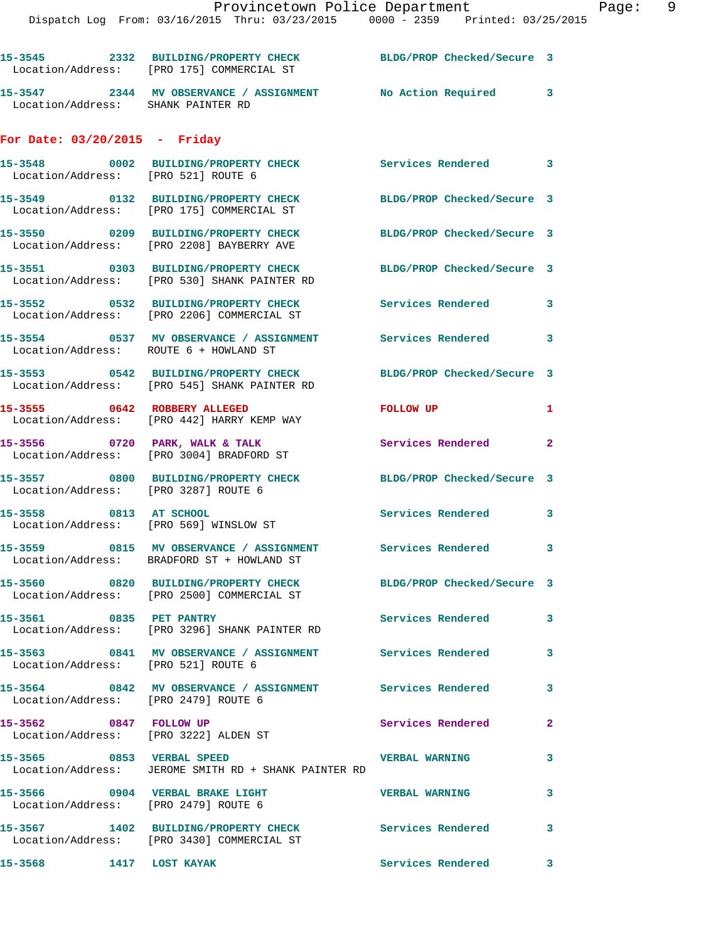|                                                                         | 15-3545 2332 BUILDING/PROPERTY CHECK BLDG/PROP Checked/Secure 3<br>Location/Address: [PRO 175] COMMERCIAL ST    |                            |              |
|-------------------------------------------------------------------------|-----------------------------------------------------------------------------------------------------------------|----------------------------|--------------|
| Location/Address: SHANK PAINTER RD                                      | 15-3547 2344 MV OBSERVANCE / ASSIGNMENT No Action Required 3                                                    |                            |              |
| For Date: $03/20/2015$ - Friday                                         |                                                                                                                 |                            |              |
| Location/Address: [PRO 521] ROUTE 6                                     | 15-3548 0002 BUILDING/PROPERTY CHECK Services Rendered 3                                                        |                            |              |
|                                                                         | 15-3549 0132 BUILDING/PROPERTY CHECK<br>Location/Address: [PRO 175] COMMERCIAL ST                               | BLDG/PROP Checked/Secure 3 |              |
|                                                                         | 15-3550 0209 BUILDING/PROPERTY CHECK<br>Location/Address: [PRO 2208] BAYBERRY AVE                               | BLDG/PROP Checked/Secure 3 |              |
|                                                                         | 15-3551 0303 BUILDING/PROPERTY CHECK<br>Location/Address: [PRO 530] SHANK PAINTER RD                            | BLDG/PROP Checked/Secure 3 |              |
|                                                                         | 15-3552 0532 BUILDING/PROPERTY CHECK<br>Location/Address: [PRO 2206] COMMERCIAL ST                              | Services Rendered 3        |              |
| Location/Address: ROUTE 6 + HOWLAND ST                                  | 15-3554 0537 MV OBSERVANCE / ASSIGNMENT Services Rendered 3                                                     |                            |              |
|                                                                         | 15-3553 0542 BUILDING/PROPERTY CHECK BLDG/PROP Checked/Secure 3<br>Location/Address: [PRO 545] SHANK PAINTER RD |                            |              |
|                                                                         | 15-3555 0642 ROBBERY ALLEGED<br>Location/Address: [PRO 442] HARRY KEMP WAY                                      | FOLLOW UP                  | 1            |
|                                                                         | 15-3556 0720 PARK, WALK & TALK<br>Location/Address: [PRO 3004] BRADFORD ST                                      | Services Rendered 2        |              |
| Location/Address: [PRO 3287] ROUTE 6                                    | 15-3557 0800 BUILDING/PROPERTY CHECK BLDG/PROP Checked/Secure 3                                                 |                            |              |
| 15-3558 0813 AT SCHOOL                                                  | Location/Address: [PRO 569] WINSLOW ST                                                                          | Services Rendered 3        |              |
|                                                                         | 15-3559 0815 MV OBSERVANCE / ASSIGNMENT Services Rendered 3<br>Location/Address: BRADFORD ST + HOWLAND ST       |                            |              |
|                                                                         | 15-3560 0820 BUILDING/PROPERTY CHECK<br>Location/Address: [PRO 2500] COMMERCIAL ST                              | BLDG/PROP Checked/Secure 3 |              |
| 15-3561 0835 PET PANTRY                                                 | Location/Address: [PRO 3296] SHANK PAINTER RD                                                                   | <b>Services Rendered</b>   | $\mathbf{3}$ |
| Location/Address: [PRO 521] ROUTE 6                                     | 15-3563 0841 MV OBSERVANCE / ASSIGNMENT Services Rendered                                                       |                            | 3            |
| Location/Address: [PRO 2479] ROUTE 6                                    | 15-3564 0842 MV OBSERVANCE / ASSIGNMENT Services Rendered                                                       |                            | 3            |
| 15-3562 0847 FOLLOW UP<br>Location/Address: [PRO 3222] ALDEN ST         |                                                                                                                 | Services Rendered          | $\mathbf{2}$ |
|                                                                         | 15-3565 0853 VERBAL SPEED<br>Location/Address: JEROME SMITH RD + SHANK PAINTER RD                               | <b>VERBAL WARNING</b>      | 3            |
| 15-3566 0904 VERBAL BRAKE LIGHT<br>Location/Address: [PRO 2479] ROUTE 6 |                                                                                                                 | <b>VERBAL WARNING</b>      | $\mathbf{3}$ |
|                                                                         | 15-3567 1402 BUILDING/PROPERTY CHECK Services Rendered<br>Location/Address: [PRO 3430] COMMERCIAL ST            |                            | 3            |
| 1417 LOST KAYAK<br>15-3568                                              |                                                                                                                 | Services Rendered          | 3            |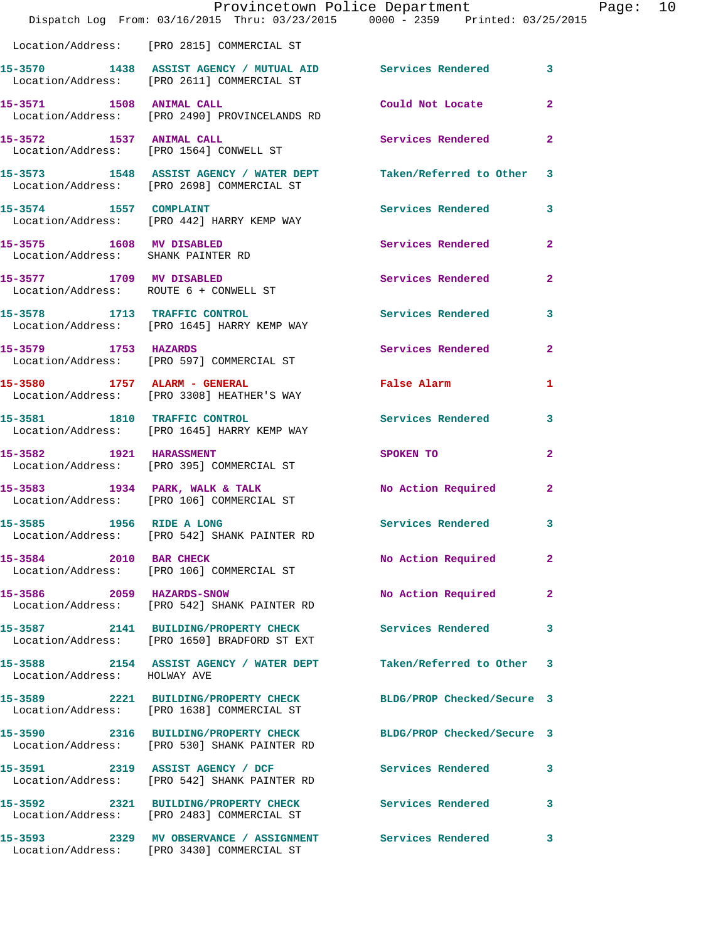|                                                                | Dispatch Log From: 03/16/2015 Thru: 03/23/2015 0000 - 2359 Printed: 03/25/2015                                  | Provincetown Police Department                      |              | Page: $10$ |  |
|----------------------------------------------------------------|-----------------------------------------------------------------------------------------------------------------|-----------------------------------------------------|--------------|------------|--|
|                                                                | Location/Address: [PRO 2815] COMMERCIAL ST                                                                      |                                                     |              |            |  |
|                                                                | 15-3570 1438 ASSIST AGENCY / MUTUAL AID Services Rendered 3<br>Location/Address: [PRO 2611] COMMERCIAL ST       |                                                     |              |            |  |
|                                                                | 15-3571 1508 ANIMAL CALL<br>Location/Address: [PRO 2490] PROVINCELANDS RD                                       | Could Not Locate                                    | $\mathbf{2}$ |            |  |
|                                                                | 15-3572 1537 ANIMAL CALL<br>Location/Address: [PRO 1564] CONWELL ST                                             | Services Rendered 2                                 |              |            |  |
|                                                                | 15-3573 1548 ASSIST AGENCY / WATER DEPT Taken/Referred to Other 3<br>Location/Address: [PRO 2698] COMMERCIAL ST |                                                     |              |            |  |
| 15-3574 1557 COMPLAINT                                         | Location/Address: [PRO 442] HARRY KEMP WAY                                                                      | Services Rendered 3                                 |              |            |  |
| 15-3575 1608 MV DISABLED<br>Location/Address: SHANK PAINTER RD |                                                                                                                 | Services Rendered                                   | $\mathbf{2}$ |            |  |
|                                                                | 15-3577 1709 MV DISABLED<br>Location/Address: ROUTE 6 + CONWELL ST                                              | Services Rendered                                   | $\mathbf{2}$ |            |  |
|                                                                |                                                                                                                 | Services Rendered 3                                 |              |            |  |
| 15-3579 1753 HAZARDS                                           | Location/Address: [PRO 597] COMMERCIAL ST                                                                       | Services Rendered                                   | $\mathbf{2}$ |            |  |
|                                                                | 15-3580 1757 ALARM - GENERAL<br>Location/Address: [PRO 3308] HEATHER'S WAY                                      | False Alarm <b>Exercise Service Service Service</b> | 1            |            |  |
| 15-3581 1810 TRAFFIC CONTROL                                   | Location/Address: [PRO 1645] HARRY KEMP WAY                                                                     | Services Rendered                                   | 3            |            |  |
|                                                                | 15-3582 1921 HARASSMENT<br>Location/Address: [PRO 395] COMMERCIAL ST                                            | SPOKEN TO                                           | $\mathbf{2}$ |            |  |
|                                                                | 15-3583 1934 PARK, WALK & TALK<br>Location/Address: [PRO 106] COMMERCIAL ST                                     | No Action Required                                  | $\mathbf{2}$ |            |  |
| 15-3585 1956 RIDE A LONG                                       | Location/Address: [PRO 542] SHANK PAINTER RD                                                                    | Services Rendered 3                                 |              |            |  |
| 15-3584 2010 BAR CHECK                                         | Location/Address: [PRO 106] COMMERCIAL ST                                                                       | No Action Required                                  | $\mathbf{2}$ |            |  |
| 15-3586 2059 HAZARDS-SNOW                                      | Location/Address: [PRO 542] SHANK PAINTER RD                                                                    | No Action Required                                  | $\mathbf{2}$ |            |  |
|                                                                | 15-3587 2141 BUILDING/PROPERTY CHECK Services Rendered<br>Location/Address: [PRO 1650] BRADFORD ST EXT          |                                                     | 3            |            |  |
| Location/Address: HOLWAY AVE                                   | 15-3588 2154 ASSIST AGENCY / WATER DEPT                                                                         | Taken/Referred to Other 3                           |              |            |  |
|                                                                | 15-3589 2221 BUILDING/PROPERTY CHECK BLDG/PROP Checked/Secure 3<br>Location/Address: [PRO 1638] COMMERCIAL ST   |                                                     |              |            |  |
|                                                                | 15-3590 2316 BUILDING/PROPERTY CHECK<br>Location/Address: [PRO 530] SHANK PAINTER RD                            | BLDG/PROP Checked/Secure 3                          |              |            |  |
|                                                                | 15-3591 2319 ASSIST AGENCY / DCF<br>Location/Address: [PRO 542] SHANK PAINTER RD                                | <b>Services Rendered</b>                            | 3            |            |  |
|                                                                | 15-3592 2321 BUILDING/PROPERTY CHECK Services Rendered 3<br>Location/Address: [PRO 2483] COMMERCIAL ST          |                                                     |              |            |  |
|                                                                |                                                                                                                 |                                                     |              |            |  |

Location/Address: [PRO 3430] COMMERCIAL ST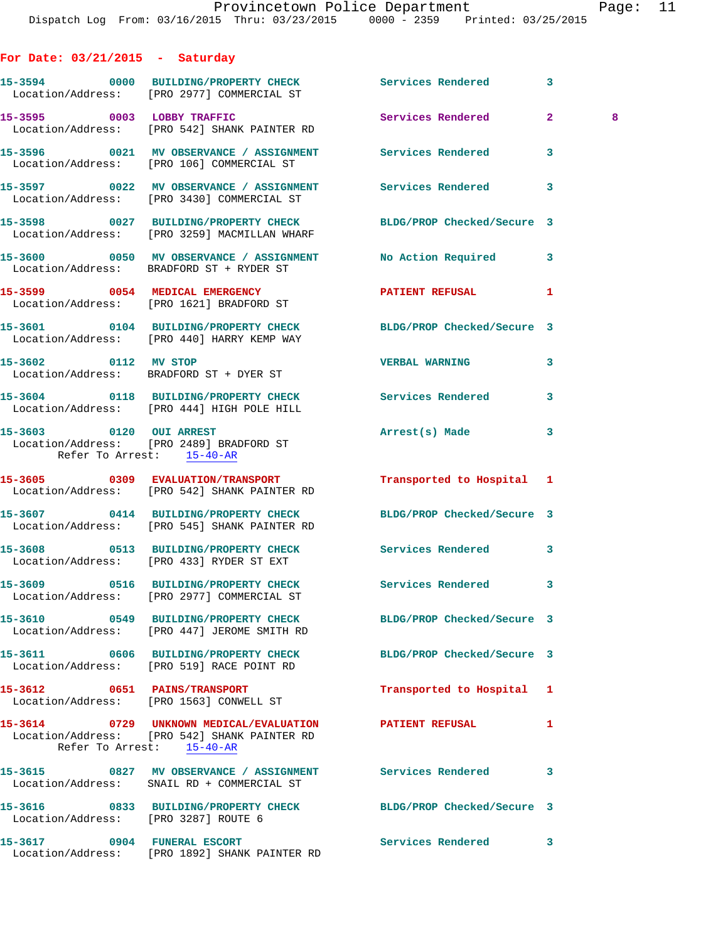| Saturday |
|----------|
|          |

|                                      | 15-3594 0000 BUILDING/PROPERTY CHECK Services Rendered<br>Location/Address: [PRO 2977] COMMERCIAL ST                 |                            | 3                   |
|--------------------------------------|----------------------------------------------------------------------------------------------------------------------|----------------------------|---------------------|
|                                      | 15-3595 0003 LOBBY TRAFFIC<br>Location/Address: [PRO 542] SHANK PAINTER RD                                           | <b>Services Rendered</b>   | $\overline{2}$<br>8 |
|                                      | 15-3596 0021 MV OBSERVANCE / ASSIGNMENT Services Rendered<br>Location/Address: [PRO 106] COMMERCIAL ST               |                            | 3                   |
|                                      | 15-3597 0022 MV OBSERVANCE / ASSIGNMENT Services Rendered<br>Location/Address: [PRO 3430] COMMERCIAL ST              |                            | 3                   |
|                                      | 15-3598 0027 BUILDING/PROPERTY CHECK BLDG/PROP Checked/Secure 3<br>Location/Address: [PRO 3259] MACMILLAN WHARF      |                            |                     |
|                                      | 15-3600 0050 MV OBSERVANCE / ASSIGNMENT No Action Required<br>Location/Address: BRADFORD ST + RYDER ST               |                            | 3                   |
|                                      | 15-3599 0054 MEDICAL EMERGENCY PATIENT REFUSAL<br>Location/Address: [PRO 1621] BRADFORD ST                           |                            | 1                   |
|                                      | 15-3601 0104 BUILDING/PROPERTY CHECK BLDG/PROP Checked/Secure 3<br>Location/Address: [PRO 440] HARRY KEMP WAY        |                            |                     |
| 15-3602 0112 MV STOP                 | Location/Address: BRADFORD ST + DYER ST                                                                              | <b>VERBAL WARNING</b>      | 3                   |
|                                      | 15-3604 0118 BUILDING/PROPERTY CHECK Services Rendered<br>Location/Address: [PRO 444] HIGH POLE HILL                 |                            | 3                   |
| Refer To Arrest: 15-40-AR            | 15-3603 0120 OUI ARREST<br>Location/Address: [PRO 2489] BRADFORD ST                                                  | Arrest(s) Made             | 3                   |
|                                      | 15-3605 0309 EVALUATION/TRANSPORT<br>Location/Address: [PRO 542] SHANK PAINTER RD                                    | Transported to Hospital 1  |                     |
|                                      | 15-3607 0414 BUILDING/PROPERTY CHECK<br>Location/Address: [PRO 545] SHANK PAINTER RD                                 | BLDG/PROP Checked/Secure 3 |                     |
|                                      | 15-3608 0513 BUILDING/PROPERTY CHECK Services Rendered<br>Location/Address: [PRO 433] RYDER ST EXT                   |                            | 3                   |
|                                      | 15-3609 0516 BUILDING/PROPERTY CHECK Services Rendered<br>Location/Address: [PRO 2977] COMMERCIAL ST                 |                            | 3                   |
|                                      | 15-3610 0549 BUILDING/PROPERTY CHECK<br>Location/Address: [PRO 447] JEROME SMITH RD                                  | BLDG/PROP Checked/Secure 3 |                     |
|                                      | 15-3611 0606 BUILDING/PROPERTY CHECK<br>Location/Address: [PRO 519] RACE POINT RD                                    | BLDG/PROP Checked/Secure 3 |                     |
| 15-3612 0651 PAINS/TRANSPORT         | Location/Address: [PRO 1563] CONWELL ST                                                                              | Transported to Hospital 1  |                     |
|                                      | 15-3614 0729 UNKNOWN MEDICAL/EVALUATION<br>Location/Address: [PRO 542] SHANK PAINTER RD<br>Refer To Arrest: 15-40-AR | <b>PATIENT REFUSAL</b>     | 1                   |
|                                      | 15-3615 0827 MV OBSERVANCE / ASSIGNMENT<br>Location/Address: SNAIL RD + COMMERCIAL ST                                | Services Rendered          | 3                   |
| Location/Address: [PRO 3287] ROUTE 6 | 15-3616 0833 BUILDING/PROPERTY CHECK                                                                                 | BLDG/PROP Checked/Secure 3 |                     |
| 15-3617 0904 FUNERAL ESCORT          | Location/Address: [PRO 1892] SHANK PAINTER RD                                                                        | Services Rendered          | 3                   |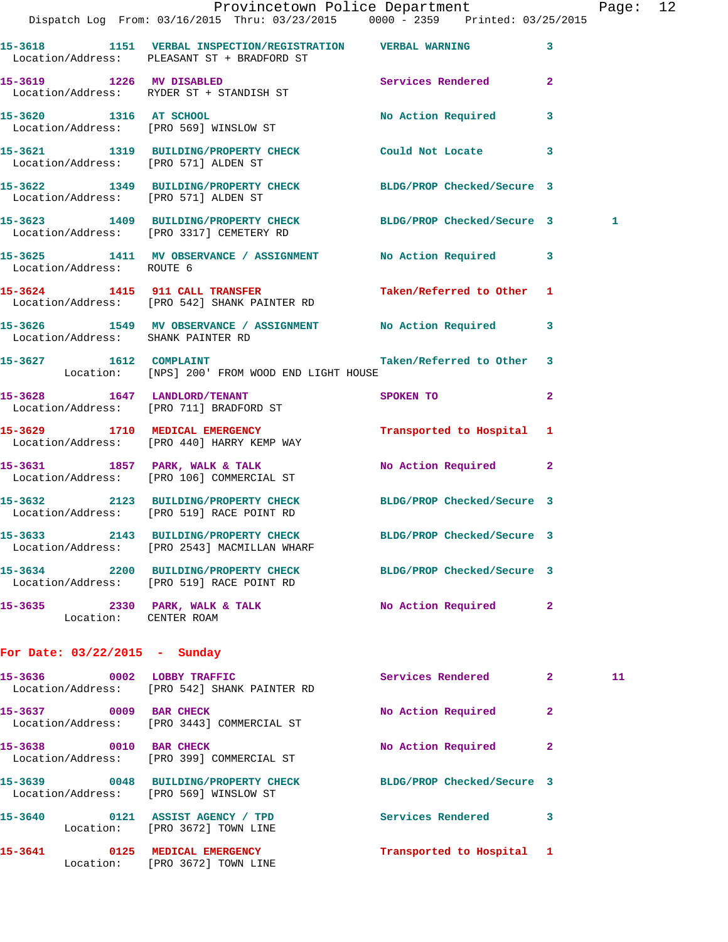|                                    | Provincetown Police Department<br>Dispatch Log From: 03/16/2015 Thru: 03/23/2015 0000 - 2359 Printed: 03/25/2015 |                                                                                                                                                                                                                               |              | Page: 12 |  |
|------------------------------------|------------------------------------------------------------------------------------------------------------------|-------------------------------------------------------------------------------------------------------------------------------------------------------------------------------------------------------------------------------|--------------|----------|--|
|                                    | 15-3618 1151 VERBAL INSPECTION/REGISTRATION VERBAL WARNING<br>Location/Address: PLEASANT ST + BRADFORD ST        |                                                                                                                                                                                                                               | 3            |          |  |
|                                    | 15-3619 1226 MV DISABLED Services Rendered 2<br>Location/Address: RYDER ST + STANDISH ST                         |                                                                                                                                                                                                                               |              |          |  |
|                                    | 15-3620 1316 AT SCHOOL<br>Location/Address: [PRO 569] WINSLOW ST                                                 | No Action Required 3                                                                                                                                                                                                          |              |          |  |
|                                    | 15-3621 1319 BUILDING/PROPERTY CHECK Could Not Locate 3<br>Location/Address: [PRO 571] ALDEN ST                  |                                                                                                                                                                                                                               |              |          |  |
|                                    | 15-3622 1349 BUILDING/PROPERTY CHECK BLDG/PROP Checked/Secure 3<br>Location/Address: [PRO 571] ALDEN ST          |                                                                                                                                                                                                                               |              |          |  |
|                                    | 15-3623 1409 BUILDING/PROPERTY CHECK BLDG/PROP Checked/Secure 3<br>Location/Address: [PRO 3317] CEMETERY RD      |                                                                                                                                                                                                                               |              | 1        |  |
| Location/Address: ROUTE 6          | 15-3625 1411 MV OBSERVANCE / ASSIGNMENT No Action Required 3                                                     |                                                                                                                                                                                                                               |              |          |  |
|                                    | 15-3624 1415 911 CALL TRANSFER Taken/Referred to Other 1<br>Location/Address: [PRO 542] SHANK PAINTER RD         |                                                                                                                                                                                                                               |              |          |  |
| Location/Address: SHANK PAINTER RD | 15-3626 1549 MV OBSERVANCE / ASSIGNMENT No Action Required 3                                                     |                                                                                                                                                                                                                               |              |          |  |
|                                    | 15-3627 1612 COMPLAINT 15-3627 1612 2001 1612<br>Location: [NPS] 200' FROM WOOD END LIGHT HOUSE                  |                                                                                                                                                                                                                               |              |          |  |
|                                    | 15-3628 1647 LANDLORD/TENANT<br>Location/Address: [PRO 711] BRADFORD ST                                          | SPOKEN TO THE STATE OF THE STATE OF THE STATE OF THE STATE OF THE STATE OF THE STATE OF THE STATE OF THE STATE OF THE STATE OF THE STATE OF THE STATE OF THE STATE OF THE STATE OF THE STATE OF THE STATE OF THE STATE OF THE | $\mathbf{2}$ |          |  |
|                                    | 15-3629 1710 MEDICAL EMERGENCY<br>Location/Address: [PRO 440] HARRY KEMP WAY                                     | Transported to Hospital 1                                                                                                                                                                                                     |              |          |  |
|                                    | 15-3631 1857 PARK, WALK & TALK 1999 No Action Required 2<br>Location/Address: [PRO 106] COMMERCIAL ST            |                                                                                                                                                                                                                               |              |          |  |
|                                    | 15-3632 2123 BUILDING/PROPERTY CHECK BLDG/PROP Checked/Secure 3<br>Location/Address: [PRO 519] RACE POINT RD     |                                                                                                                                                                                                                               |              |          |  |
|                                    | 15-3633 2143 BUILDING/PROPERTY CHECK<br>Location/Address: [PRO 2543] MACMILLAN WHARF                             | BLDG/PROP Checked/Secure 3                                                                                                                                                                                                    |              |          |  |
|                                    | 15-3634 2200 BUILDING/PROPERTY CHECK<br>Location/Address: [PRO 519] RACE POINT RD                                | BLDG/PROP Checked/Secure 3                                                                                                                                                                                                    |              |          |  |
| Location: CENTER ROAM              | 15-3635 2330 PARK, WALK & TALK                                                                                   | No Action Required 2                                                                                                                                                                                                          |              |          |  |
| For Date: 03/22/2015 - Sunday      |                                                                                                                  |                                                                                                                                                                                                                               |              |          |  |
| 15-3636                            | 0002 LOBBY TRAFFIC<br>Logation (Address: [DDO E49] CUANIZ DAINTED DD                                             | Services Rendered                                                                                                                                                                                                             | $\mathbf{2}$ | 11       |  |

|         | Location/Address:         | [PRO 542] SHANK PAINTER RD                             |                            |              |
|---------|---------------------------|--------------------------------------------------------|----------------------------|--------------|
| 15-3637 | 0009<br>Location/Address: | <b>BAR CHECK</b><br>[PRO 3443] COMMERCIAL ST           | No Action Required         | $\mathbf{2}$ |
| 15-3638 | 0010<br>Location/Address: | <b>BAR CHECK</b><br>[PRO 399] COMMERCIAL ST            | No Action Required         | $\mathbf{2}$ |
| 15-3639 | 0048<br>Location/Address: | <b>BUILDING/PROPERTY CHECK</b><br>[PRO 569] WINSLOW ST | BLDG/PROP Checked/Secure 3 |              |
| 15-3640 | 0121<br>Location:         | ASSIST AGENCY / TPD<br>FPRO 36721 TOWN LINE            | Services Rendered          | 3            |
| 15-3641 | 0125<br>Location:         | MEDICAL EMERGENCY<br>FPRO 36721 TOWN LINE              | Transported to Hospital 1  |              |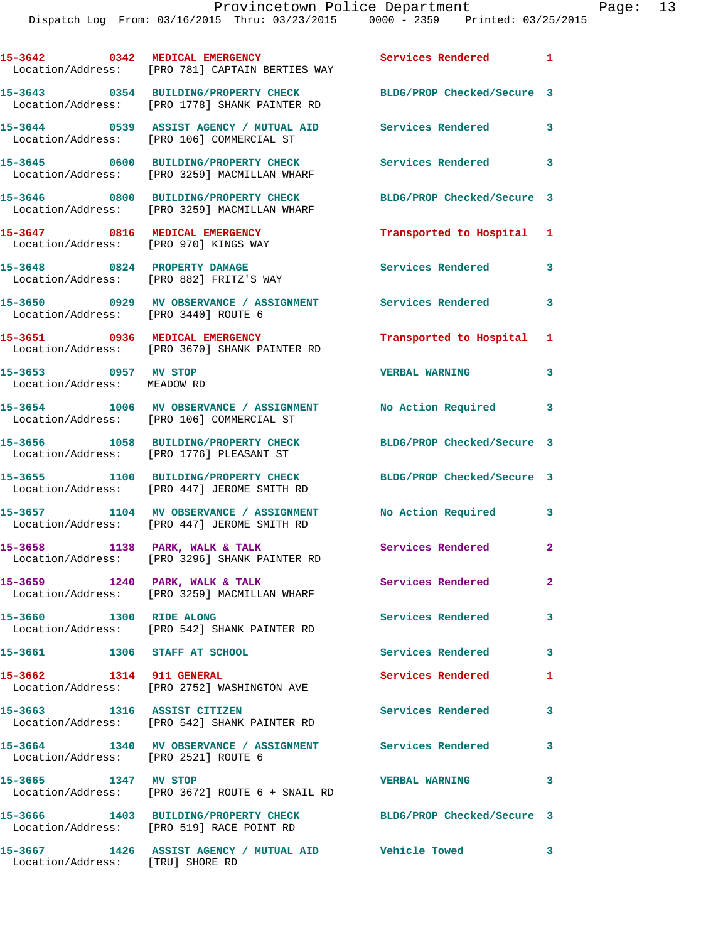|                                                                         | 15-3642 0342 MEDICAL EMERGENCY<br>Location/Address: [PRO 781] CAPTAIN BERTIES WAY                      | <b>Services Rendered</b> 1 |                         |
|-------------------------------------------------------------------------|--------------------------------------------------------------------------------------------------------|----------------------------|-------------------------|
|                                                                         | 15-3643 0354 BUILDING/PROPERTY CHECK<br>Location/Address: [PRO 1778] SHANK PAINTER RD                  | BLDG/PROP Checked/Secure 3 |                         |
|                                                                         | 15-3644 0539 ASSIST AGENCY / MUTUAL AID Services Rendered<br>Location/Address: [PRO 106] COMMERCIAL ST |                            | $\overline{\mathbf{3}}$ |
|                                                                         | 15-3645 0600 BUILDING/PROPERTY CHECK<br>Location/Address: [PRO 3259] MACMILLAN WHARF                   | Services Rendered 3        |                         |
|                                                                         | 15-3646 0800 BUILDING/PROPERTY CHECK<br>Location/Address: [PRO 3259] MACMILLAN WHARF                   | BLDG/PROP Checked/Secure 3 |                         |
| 15-3647 0816 MEDICAL EMERGENCY<br>Location/Address: [PRO 970] KINGS WAY |                                                                                                        | Transported to Hospital 1  |                         |
|                                                                         | 15-3648 0824 PROPERTY DAMAGE<br>Location/Address: [PRO 882] FRITZ'S WAY                                | Services Rendered          | 3                       |
| Location/Address: [PRO 3440] ROUTE 6                                    | 15-3650 0929 MV OBSERVANCE / ASSIGNMENT Services Rendered                                              |                            | $\mathbf{3}$            |
|                                                                         | 15-3651 0936 MEDICAL EMERGENCY<br>Location/Address: [PRO 3670] SHANK PAINTER RD                        | Transported to Hospital 1  |                         |
| 15-3653 0957 MV STOP<br>Location/Address: MEADOW RD                     |                                                                                                        | <b>VERBAL WARNING</b>      | 3                       |
|                                                                         | 15-3654 1006 MV OBSERVANCE / ASSIGNMENT<br>Location/Address: [PRO 106] COMMERCIAL ST                   | No Action Required 3       |                         |
|                                                                         | 15-3656 1058 BUILDING/PROPERTY CHECK<br>Location/Address: [PRO 1776] PLEASANT ST                       | BLDG/PROP Checked/Secure 3 |                         |
|                                                                         | 15-3655 1100 BUILDING/PROPERTY CHECK<br>Location/Address: [PRO 447] JEROME SMITH RD                    | BLDG/PROP Checked/Secure 3 |                         |
|                                                                         | 15-3657 1104 MV OBSERVANCE / ASSIGNMENT<br>Location/Address: [PRO 447] JEROME SMITH RD                 | No Action Required         | 3                       |
| 15-3658 1138 PARK, WALK & TALK                                          | Location/Address: [PRO 3296] SHANK PAINTER RD                                                          | Services Rendered          | $\overline{2}$          |
|                                                                         | 15-3659 1240 PARK, WALK & TALK<br>Location/Address: [PRO 3259] MACMILLAN WHARF                         | Services Rendered          | $\mathbf{2}^-$          |
| 15-3660 1300 RIDE ALONG                                                 | Location/Address: [PRO 542] SHANK PAINTER RD                                                           | <b>Services Rendered</b>   | 3                       |
| 15-3661 1306 STAFF AT SCHOOL                                            |                                                                                                        | Services Rendered          | $\mathbf{3}$            |
| 15-3662 1314 911 GENERAL                                                | Location/Address: [PRO 2752] WASHINGTON AVE                                                            | <b>Services Rendered</b>   | 1                       |
| 15-3663 1316 ASSIST CITIZEN                                             | Location/Address: [PRO 542] SHANK PAINTER RD                                                           | <b>Services Rendered</b>   | $\overline{\mathbf{3}}$ |
| Location/Address: [PRO 2521] ROUTE 6                                    | 15-3664 1340 MV OBSERVANCE / ASSIGNMENT Services Rendered                                              |                            | 3                       |
| 15-3665 1347 MV STOP                                                    | Location/Address: [PRO 3672] ROUTE 6 + SNAIL RD                                                        | <b>VERBAL WARNING</b>      | 3                       |
|                                                                         | 15-3666 1403 BUILDING/PROPERTY CHECK<br>Location/Address: [PRO 519] RACE POINT RD                      | BLDG/PROP Checked/Secure 3 |                         |
|                                                                         |                                                                                                        | $\sim$ $\sim$ $\sim$ 3     |                         |

Location/Address: [TRU] SHORE RD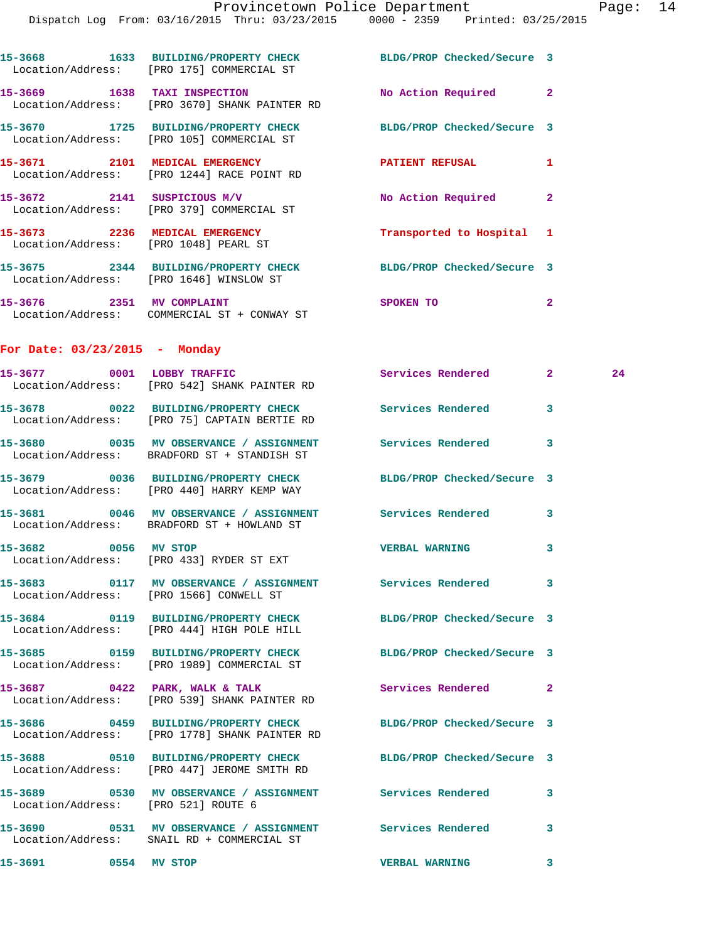|                                       | Dispatch Log From: 03/16/2015 Thru: 03/23/2015 0000 - 2359 Printed: 03/25/2015                                |                            |              |    |
|---------------------------------------|---------------------------------------------------------------------------------------------------------------|----------------------------|--------------|----|
|                                       | 15-3668 1633 BUILDING/PROPERTY CHECK<br>Location/Address: [PRO 175] COMMERCIAL ST                             | BLDG/PROP Checked/Secure 3 |              |    |
|                                       | 15-3669 1638 TAXI INSPECTION<br>Location/Address: [PRO 3670] SHANK PAINTER RD                                 | No Action Required 2       |              |    |
|                                       | 15-3670 1725 BUILDING/PROPERTY CHECK BLDG/PROP Checked/Secure 3<br>Location/Address: [PRO 105] COMMERCIAL ST  |                            |              |    |
|                                       | 15-3671 2101 MEDICAL EMERGENCY<br>Location/Address: [PRO 1244] RACE POINT RD                                  | PATIENT REFUSAL            | 1            |    |
|                                       | 15-3672 2141 SUSPICIOUS M/V<br>Location/Address: [PRO 379] COMMERCIAL ST                                      | No Action Required 2       |              |    |
| Location/Address: [PRO 1048] PEARL ST | 15-3673 2236 MEDICAL EMERGENCY                                                                                | Transported to Hospital 1  |              |    |
|                                       | 15-3675 2344 BUILDING/PROPERTY CHECK BLDG/PROP Checked/Secure 3<br>Location/Address: [PRO 1646] WINSLOW ST    |                            |              |    |
|                                       | 15-3676 2351 MV COMPLAINT<br>Location/Address: COMMERCIAL ST + CONWAY ST                                      | SPOKEN TO                  | $\mathbf{2}$ |    |
| For Date: $03/23/2015$ - Monday       |                                                                                                               |                            |              |    |
|                                       | 15-3677 0001 LOBBY TRAFFIC<br>Location/Address: [PRO 542] SHANK PAINTER RD                                    | Services Rendered 2        |              | 24 |
|                                       | 15-3678 0022 BUILDING/PROPERTY CHECK Services Rendered<br>Location/Address: [PRO 75] CAPTAIN BERTIE RD        |                            | 3            |    |
|                                       | 15-3680 6035 MV OBSERVANCE / ASSIGNMENT Services Rendered<br>Location/Address: BRADFORD ST + STANDISH ST      |                            | 3            |    |
|                                       | 15-3679 0036 BUILDING/PROPERTY CHECK<br>Location/Address: [PRO 440] HARRY KEMP WAY                            | BLDG/PROP Checked/Secure 3 |              |    |
|                                       | 15-3681 0046 MV OBSERVANCE / ASSIGNMENT Services Rendered 3<br>Location/Address: BRADFORD ST + HOWLAND ST     |                            |              |    |
| 15-3682 0056 MV STOP                  | Location/Address: [PRO 433] RYDER ST EXT                                                                      | <b>VERBAL WARNING</b>      | 3            |    |
|                                       | Location/Address: [PRO 1566] CONWELL ST                                                                       |                            | 3            |    |
|                                       | 15-3684 0119 BUILDING/PROPERTY CHECK<br>Location/Address: [PRO 444] HIGH POLE HILL                            | BLDG/PROP Checked/Secure 3 |              |    |
|                                       | 15-3685 0159 BUILDING/PROPERTY CHECK BLDG/PROP Checked/Secure 3<br>Location/Address: [PRO 1989] COMMERCIAL ST |                            |              |    |
|                                       | $15-3687$ 0422 PARK, WALK & TALK<br>Location/Address: [PRO 539] SHANK PAINTER RD                              | Services Rendered          | 2            |    |
|                                       | 15-3686 0459 BUILDING/PROPERTY CHECK<br>Location/Address: [PRO 1778] SHANK PAINTER RD                         | BLDG/PROP Checked/Secure 3 |              |    |
|                                       | 15-3688 0510 BUILDING/PROPERTY CHECK<br>Location/Address: [PRO 447] JEROME SMITH RD                           | BLDG/PROP Checked/Secure 3 |              |    |
| Location/Address: [PRO 521] ROUTE 6   |                                                                                                               |                            | 3            |    |
|                                       |                                                                                                               |                            | $\mathbf{3}$ |    |

**15-3691 0554 MV STOP VERBAL WARNING 3** 

Location/Address: SNAIL RD + COMMERCIAL ST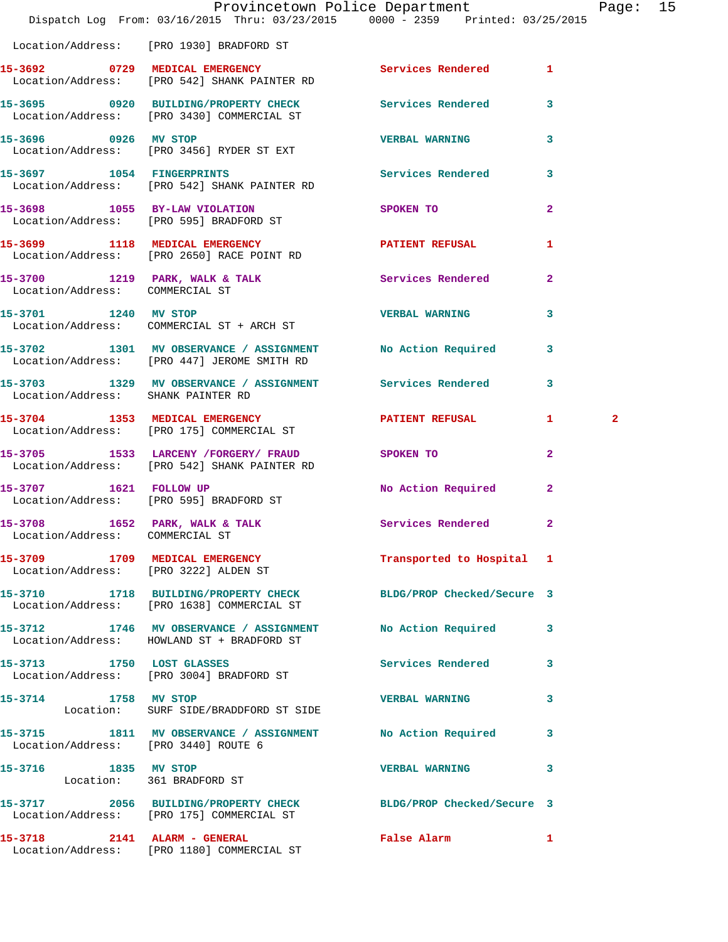|                                                   | Provincetown Police Department The Rage: 15<br>Dispatch Log From: 03/16/2015 Thru: 03/23/2015 0000 - 2359 Printed: 03/25/2015 |                                                                                                               |              |              |  |
|---------------------------------------------------|-------------------------------------------------------------------------------------------------------------------------------|---------------------------------------------------------------------------------------------------------------|--------------|--------------|--|
|                                                   | Location/Address: [PRO 1930] BRADFORD ST                                                                                      |                                                                                                               |              |              |  |
|                                                   | 15-3692 0729 MEDICAL EMERGENCY Services Rendered 1<br>Location/Address: [PRO 542] SHANK PAINTER RD                            |                                                                                                               |              |              |  |
|                                                   | 15-3695 0920 BUILDING/PROPERTY CHECK Services Rendered 3<br>Location/Address: [PRO 3430] COMMERCIAL ST                        |                                                                                                               |              |              |  |
|                                                   | 15-3696 0926 MV STOP<br>Location/Address: [PRO 3456] RYDER ST EXT                                                             | <b>VERBAL WARNING</b>                                                                                         | 3            |              |  |
|                                                   | 15-3697 1054 FINGERPRINTS<br>Location/Address: [PRO 542] SHANK PAINTER RD                                                     | Services Rendered 3                                                                                           |              |              |  |
|                                                   | 15-3698 1055 BY-LAW VIOLATION<br>Location/Address: [PRO 595] BRADFORD ST                                                      | SPOKEN TO AND TO A STATE OF THE STATE OF THE STATE OF THE STATE OF THE STATE OF THE STATE OF THE STATE OF THE | $\mathbf{2}$ |              |  |
|                                                   | 15-3699 1118 MEDICAL EMERGENCY PATIENT REFUSAL<br>Location/Address: [PRO 2650] RACE POINT RD                                  |                                                                                                               | 1            |              |  |
|                                                   | 15-3700 1219 PARK, WALK & TALK Services Rendered 2<br>Location/Address: COMMERCIAL ST                                         |                                                                                                               |              |              |  |
|                                                   | 15-3701 1240 MV STOP 120 200 VERBAL WARNING<br>Location/Address: COMMERCIAL ST + ARCH ST                                      |                                                                                                               | 3            |              |  |
|                                                   | 15-3702 1301 MV OBSERVANCE / ASSIGNMENT No Action Required 3<br>Location/Address: [PRO 447] JEROME SMITH RD                   |                                                                                                               |              |              |  |
| Location/Address: SHANK PAINTER RD                | 15-3703 1329 MV OBSERVANCE / ASSIGNMENT Services Rendered                                                                     |                                                                                                               | $\mathbf{3}$ |              |  |
|                                                   | 15-3704 1353 MEDICAL EMERGENCY 1 PATIENT REFUSAL 1<br>Location/Address: [PRO 175] COMMERCIAL ST                               |                                                                                                               |              | $\mathbf{2}$ |  |
|                                                   | 15-3705 1533 LARCENY / FORGERY / FRAUD SPOKEN TO<br>Location/Address: [PRO 542] SHANK PAINTER RD                              |                                                                                                               | $\mathbf{2}$ |              |  |
|                                                   | 15-3707 1621 FOLLOW UP<br>Location/Address: [PRO 595] BRADFORD ST                                                             | No Action Required 2                                                                                          |              |              |  |
| Location/Address: COMMERCIAL ST                   | 15-3708 1652 PARK, WALK & TALK 1999 Services Rendered 2                                                                       |                                                                                                               |              |              |  |
|                                                   | 15-3709 1709 MEDICAL EMERGENCY<br>Location/Address: [PRO 3222] ALDEN ST                                                       | Transported to Hospital 1                                                                                     |              |              |  |
|                                                   | 15-3710 1718 BUILDING/PROPERTY CHECK BLDG/PROP Checked/Secure 3<br>Location/Address: [PRO 1638] COMMERCIAL ST                 |                                                                                                               |              |              |  |
|                                                   | 15-3712 1746 MV OBSERVANCE / ASSIGNMENT No Action Required 3<br>Location/Address: HOWLAND ST + BRADFORD ST                    |                                                                                                               |              |              |  |
|                                                   | 15-3713 1750 LOST GLASSES<br>Location/Address: [PRO 3004] BRADFORD ST                                                         | Services Rendered 3                                                                                           |              |              |  |
|                                                   | 15-3714 1758 MV STOP<br>Location: SURF SIDE/BRADDFORD ST SIDE                                                                 | <b>VERBAL WARNING</b>                                                                                         | 3            |              |  |
| Location/Address: [PRO 3440] ROUTE 6              | 15-3715 1811 MV OBSERVANCE / ASSIGNMENT No Action Required                                                                    |                                                                                                               | 3            |              |  |
| 15-3716 1835 MV STOP<br>Location: 361 BRADFORD ST |                                                                                                                               | VERBAL WARNING 3                                                                                              |              |              |  |
|                                                   | 15-3717 2056 BUILDING/PROPERTY CHECK BLDG/PROP Checked/Secure 3<br>Location/Address: [PRO 175] COMMERCIAL ST                  |                                                                                                               |              |              |  |
|                                                   | 15-3718 2141 ALARM - GENERAL<br>Location/Address: [PRO 1180] COMMERCIAL ST                                                    | False Alarm 1                                                                                                 |              |              |  |